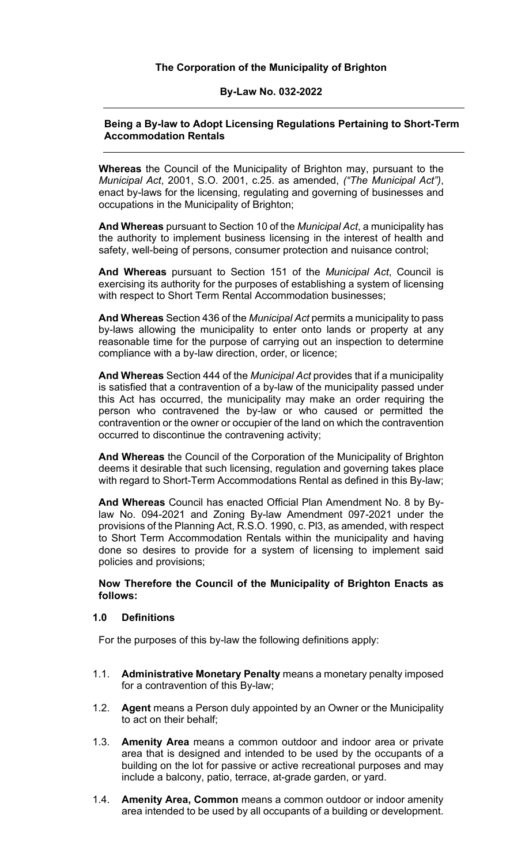#### **The Corporation of the Municipality of Brighton**

#### **By-Law No. 032-2022**

#### **Being a By-law to Adopt Licensing Regulations Pertaining to Short-Term Accommodation Rentals**

**Whereas** the Council of the Municipality of Brighton may, pursuant to the *Municipal Act*, 2001, S.O. 2001, c.25. as amended, *("The Municipal Act")*, enact by-laws for the licensing, regulating and governing of businesses and occupations in the Municipality of Brighton;

**And Whereas** pursuant to Section 10 of the *Municipal Act*, a municipality has the authority to implement business licensing in the interest of health and safety, well-being of persons, consumer protection and nuisance control;

**And Whereas** pursuant to Section 151 of the *Municipal Act*, Council is exercising its authority for the purposes of establishing a system of licensing with respect to Short Term Rental Accommodation businesses;

**And Whereas** Section 436 of the *Municipal Act* permits a municipality to pass by-laws allowing the municipality to enter onto lands or property at any reasonable time for the purpose of carrying out an inspection to determine compliance with a by-law direction, order, or licence;

**And Whereas** Section 444 of the *Municipal Act* provides that if a municipality is satisfied that a contravention of a by-law of the municipality passed under this Act has occurred, the municipality may make an order requiring the person who contravened the by-law or who caused or permitted the contravention or the owner or occupier of the land on which the contravention occurred to discontinue the contravening activity;

**And Whereas** the Council of the Corporation of the Municipality of Brighton deems it desirable that such licensing, regulation and governing takes place with regard to Short-Term Accommodations Rental as defined in this By-law;

**And Whereas** Council has enacted Official Plan Amendment No. 8 by Bylaw No. 094-2021 and Zoning By-law Amendment 097-2021 under the provisions of the Planning Act, R.S.O. 1990, c. Pl3, as amended, with respect to Short Term Accommodation Rentals within the municipality and having done so desires to provide for a system of licensing to implement said policies and provisions;

#### **Now Therefore the Council of the Municipality of Brighton Enacts as follows:**

#### **1.0 Definitions**

For the purposes of this by-law the following definitions apply:

- 1.1. **Administrative Monetary Penalty** means a monetary penalty imposed for a contravention of this By-law;
- 1.2. **Agent** means a Person duly appointed by an Owner or the Municipality to act on their behalf;
- 1.3. **Amenity Area** means a common outdoor and indoor area or private area that is designed and intended to be used by the occupants of a building on the lot for passive or active recreational purposes and may include a balcony, patio, terrace, at-grade garden, or yard.
- 1.4. **Amenity Area, Common** means a common outdoor or indoor amenity area intended to be used by all occupants of a building or development.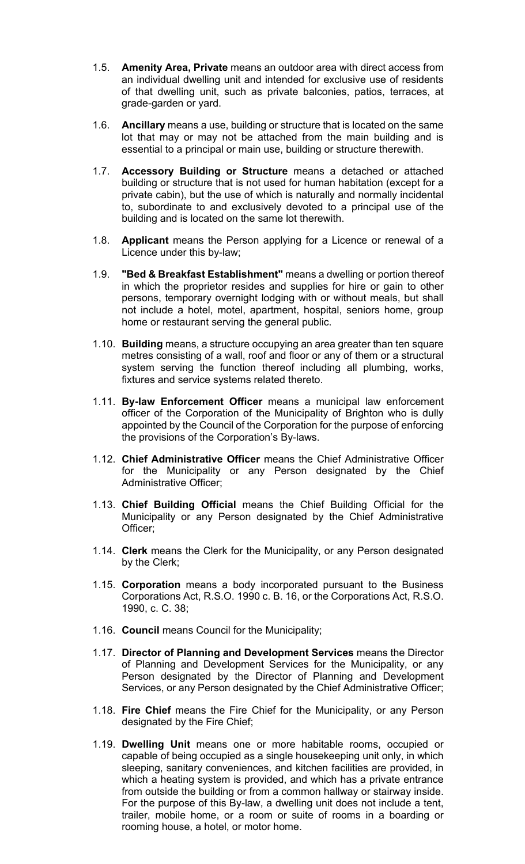- 1.5. **Amenity Area, Private** means an outdoor area with direct access from an individual dwelling unit and intended for exclusive use of residents of that dwelling unit, such as private balconies, patios, terraces, at grade-garden or yard.
- 1.6. **Ancillary** means a use, building or structure that is located on the same lot that may or may not be attached from the main building and is essential to a principal or main use, building or structure therewith.
- 1.7. **Accessory Building or Structure** means a detached or attached building or structure that is not used for human habitation (except for a private cabin), but the use of which is naturally and normally incidental to, subordinate to and exclusively devoted to a principal use of the building and is located on the same lot therewith.
- 1.8. **Applicant** means the Person applying for a Licence or renewal of a Licence under this by-law;
- 1.9. **"Bed & Breakfast Establishment"** means a dwelling or portion thereof in which the proprietor resides and supplies for hire or gain to other persons, temporary overnight lodging with or without meals, but shall not include a hotel, motel, apartment, hospital, seniors home, group home or restaurant serving the general public.
- 1.10. **Building** means, a structure occupying an area greater than ten square metres consisting of a wall, roof and floor or any of them or a structural system serving the function thereof including all plumbing, works, fixtures and service systems related thereto.
- 1.11. **By-law Enforcement Officer** means a municipal law enforcement officer of the Corporation of the Municipality of Brighton who is dully appointed by the Council of the Corporation for the purpose of enforcing the provisions of the Corporation's By-laws.
- 1.12. **Chief Administrative Officer** means the Chief Administrative Officer for the Municipality or any Person designated by the Chief Administrative Officer;
- 1.13. **Chief Building Official** means the Chief Building Official for the Municipality or any Person designated by the Chief Administrative Officer;
- 1.14. **Clerk** means the Clerk for the Municipality, or any Person designated by the Clerk;
- 1.15. **Corporation** means a body incorporated pursuant to the Business Corporations Act, R.S.O. 1990 c. B. 16, or the Corporations Act, R.S.O. 1990, c. C. 38;
- 1.16. **Council** means Council for the Municipality;
- 1.17. **Director of Planning and Development Services** means the Director of Planning and Development Services for the Municipality, or any Person designated by the Director of Planning and Development Services, or any Person designated by the Chief Administrative Officer;
- 1.18. **Fire Chief** means the Fire Chief for the Municipality, or any Person designated by the Fire Chief;
- 1.19. **Dwelling Unit** means one or more habitable rooms, occupied or capable of being occupied as a single housekeeping unit only, in which sleeping, sanitary conveniences, and kitchen facilities are provided, in which a heating system is provided, and which has a private entrance from outside the building or from a common hallway or stairway inside. For the purpose of this By-law, a dwelling unit does not include a tent, trailer, mobile home, or a room or suite of rooms in a boarding or rooming house, a hotel, or motor home.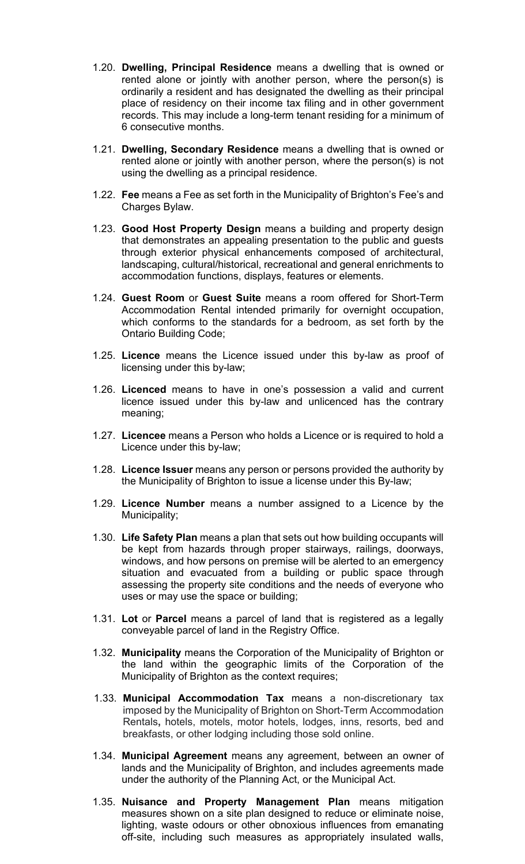- 1.20. **Dwelling, Principal Residence** means a dwelling that is owned or rented alone or jointly with another person, where the person(s) is ordinarily a resident and has designated the dwelling as their principal place of residency on their income tax filing and in other government records. This may include a long-term tenant residing for a minimum of 6 consecutive months.
- 1.21. **Dwelling, Secondary Residence** means a dwelling that is owned or rented alone or jointly with another person, where the person(s) is not using the dwelling as a principal residence.
- 1.22. **Fee** means a Fee as set forth in the Municipality of Brighton's Fee's and Charges Bylaw.
- 1.23. **Good Host Property Design** means a building and property design that demonstrates an appealing presentation to the public and guests through exterior physical enhancements composed of architectural, landscaping, cultural/historical, recreational and general enrichments to accommodation functions, displays, features or elements.
- 1.24. **Guest Room** or **Guest Suite** means a room offered for Short-Term Accommodation Rental intended primarily for overnight occupation, which conforms to the standards for a bedroom, as set forth by the Ontario Building Code;
- 1.25. **Licence** means the Licence issued under this by-law as proof of licensing under this by-law;
- 1.26. **Licenced** means to have in one's possession a valid and current licence issued under this by-law and unlicenced has the contrary meaning;
- 1.27. **Licencee** means a Person who holds a Licence or is required to hold a Licence under this by-law;
- 1.28. **Licence Issuer** means any person or persons provided the authority by the Municipality of Brighton to issue a license under this By-law;
- 1.29. **Licence Number** means a number assigned to a Licence by the Municipality;
- 1.30. **Life Safety Plan** means a plan that sets out how building occupants will be kept from hazards through proper stairways, railings, doorways, windows, and how persons on premise will be alerted to an emergency situation and evacuated from a building or public space through assessing the property site conditions and the needs of everyone who uses or may use the space or building;
- 1.31. **Lot** or **Parcel** means a parcel of land that is registered as a legally conveyable parcel of land in the Registry Office.
- 1.32. **Municipality** means the Corporation of the Municipality of Brighton or the land within the geographic limits of the Corporation of the Municipality of Brighton as the context requires;
- 1.33. **Municipal Accommodation Tax** means a non-discretionary tax imposed by the Municipality of Brighton on Short-Term Accommodation Rentals**,** hotels, motels, motor hotels, lodges, inns, resorts, bed and breakfasts, or other lodging including those sold online.
- 1.34. **Municipal Agreement** means any agreement, between an owner of lands and the Municipality of Brighton, and includes agreements made under the authority of the Planning Act, or the Municipal Act.
- 1.35. **Nuisance and Property Management Plan** means mitigation measures shown on a site plan designed to reduce or eliminate noise, lighting, waste odours or other obnoxious influences from emanating off-site, including such measures as appropriately insulated walls,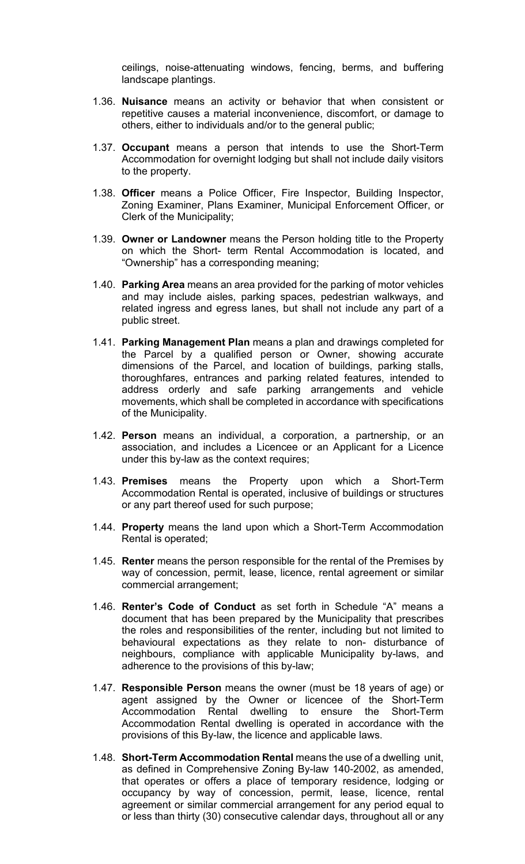ceilings, noise-attenuating windows, fencing, berms, and buffering landscape plantings.

- 1.36. **Nuisance** means an activity or behavior that when consistent or repetitive causes a material inconvenience, discomfort, or damage to others, either to individuals and/or to the general public;
- 1.37. **Occupant** means a person that intends to use the Short-Term Accommodation for overnight lodging but shall not include daily visitors to the property.
- 1.38. **Officer** means a Police Officer, Fire Inspector, Building Inspector, Zoning Examiner, Plans Examiner, Municipal Enforcement Officer, or Clerk of the Municipality;
- 1.39. **Owner or Landowner** means the Person holding title to the Property on which the Short- term Rental Accommodation is located, and "Ownership" has a corresponding meaning;
- 1.40. **Parking Area** means an area provided for the parking of motor vehicles and may include aisles, parking spaces, pedestrian walkways, and related ingress and egress lanes, but shall not include any part of a public street.
- 1.41. **Parking Management Plan** means a plan and drawings completed for the Parcel by a qualified person or Owner, showing accurate dimensions of the Parcel, and location of buildings, parking stalls, thoroughfares, entrances and parking related features, intended to address orderly and safe parking arrangements and vehicle movements, which shall be completed in accordance with specifications of the Municipality.
- 1.42. **Person** means an individual, a corporation, a partnership, or an association, and includes a Licencee or an Applicant for a Licence under this by-law as the context requires;
- 1.43. **Premises** means the Property upon which a Short-Term Accommodation Rental is operated, inclusive of buildings or structures or any part thereof used for such purpose;
- 1.44. **Property** means the land upon which a Short-Term Accommodation Rental is operated;
- 1.45. **Renter** means the person responsible for the rental of the Premises by way of concession, permit, lease, licence, rental agreement or similar commercial arrangement;
- 1.46. **Renter's Code of Conduct** as set forth in Schedule "A" means a document that has been prepared by the Municipality that prescribes the roles and responsibilities of the renter, including but not limited to behavioural expectations as they relate to non- disturbance of neighbours, compliance with applicable Municipality by-laws, and adherence to the provisions of this by-law;
- 1.47. **Responsible Person** means the owner (must be 18 years of age) or agent assigned by the Owner or licencee of the Short-Term Accommodation Rental dwelling to ensure the Short-Term Accommodation Rental dwelling is operated in accordance with the provisions of this By-law, the licence and applicable laws.
- 1.48. **Short-Term Accommodation Rental** means the use of a dwelling unit, as defined in Comprehensive Zoning By-law 140-2002, as amended, that operates or offers a place of temporary residence, lodging or occupancy by way of concession, permit, lease, licence, rental agreement or similar commercial arrangement for any period equal to or less than thirty (30) consecutive calendar days, throughout all or any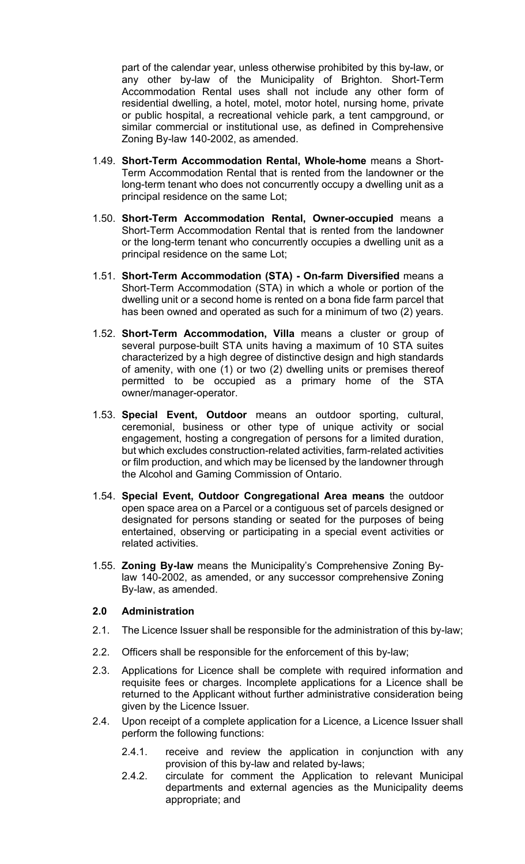part of the calendar year, unless otherwise prohibited by this by-law, or any other by-law of the Municipality of Brighton. Short-Term Accommodation Rental uses shall not include any other form of residential dwelling, a hotel, motel, motor hotel, nursing home, private or public hospital, a recreational vehicle park, a tent campground, or similar commercial or institutional use, as defined in Comprehensive Zoning By-law 140-2002, as amended.

- 1.49. **Short-Term Accommodation Rental, Whole-home** means a Short-Term Accommodation Rental that is rented from the landowner or the long-term tenant who does not concurrently occupy a dwelling unit as a principal residence on the same Lot;
- 1.50. **Short-Term Accommodation Rental, Owner-occupied** means a Short-Term Accommodation Rental that is rented from the landowner or the long-term tenant who concurrently occupies a dwelling unit as a principal residence on the same Lot;
- 1.51. **Short-Term Accommodation (STA) On-farm Diversified** means a Short-Term Accommodation (STA) in which a whole or portion of the dwelling unit or a second home is rented on a bona fide farm parcel that has been owned and operated as such for a minimum of two (2) years.
- 1.52. **Short-Term Accommodation, Villa** means a cluster or group of several purpose-built STA units having a maximum of 10 STA suites characterized by a high degree of distinctive design and high standards of amenity, with one (1) or two (2) dwelling units or premises thereof permitted to be occupied as a primary home of the STA owner/manager-operator.
- 1.53. **Special Event, Outdoor** means an outdoor sporting, cultural, ceremonial, business or other type of unique activity or social engagement, hosting a congregation of persons for a limited duration, but which excludes construction-related activities, farm-related activities or film production, and which may be licensed by the landowner through the Alcohol and Gaming Commission of Ontario.
- 1.54. **Special Event, Outdoor Congregational Area means** the outdoor open space area on a Parcel or a contiguous set of parcels designed or designated for persons standing or seated for the purposes of being entertained, observing or participating in a special event activities or related activities.
- 1.55. **Zoning By-law** means the Municipality's Comprehensive Zoning Bylaw 140-2002, as amended, or any successor comprehensive Zoning By-law, as amended.

#### **2.0 Administration**

- 2.1. The Licence Issuer shall be responsible for the administration of this by-law;
- 2.2. Officers shall be responsible for the enforcement of this by-law;
- 2.3. Applications for Licence shall be complete with required information and requisite fees or charges. Incomplete applications for a Licence shall be returned to the Applicant without further administrative consideration being given by the Licence Issuer.
- 2.4. Upon receipt of a complete application for a Licence, a Licence Issuer shall perform the following functions:
	- 2.4.1. receive and review the application in conjunction with any provision of this by-law and related by-laws;
	- 2.4.2. circulate for comment the Application to relevant Municipal departments and external agencies as the Municipality deems appropriate; and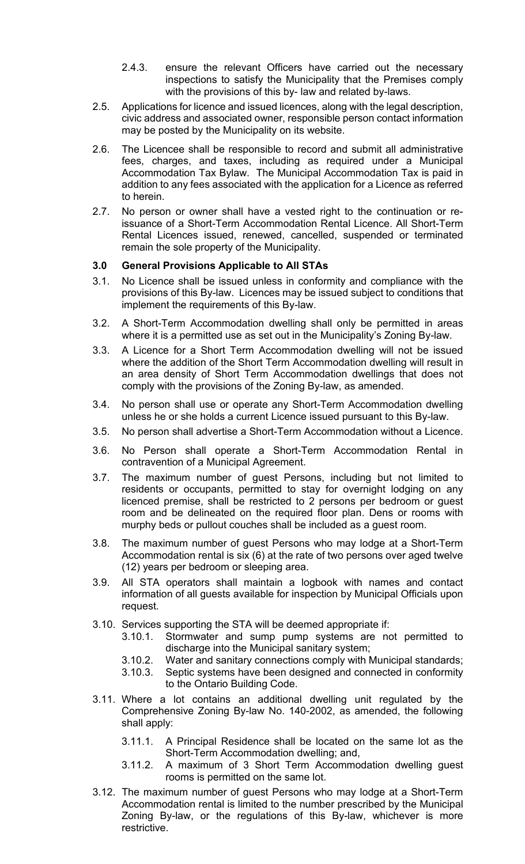- 2.4.3. ensure the relevant Officers have carried out the necessary inspections to satisfy the Municipality that the Premises comply with the provisions of this by- law and related by-laws.
- 2.5. Applications for licence and issued licences, along with the legal description, civic address and associated owner, responsible person contact information may be posted by the Municipality on its website.
- 2.6. The Licencee shall be responsible to record and submit all administrative fees, charges, and taxes, including as required under a Municipal Accommodation Tax Bylaw. The Municipal Accommodation Tax is paid in addition to any fees associated with the application for a Licence as referred to herein.
- 2.7. No person or owner shall have a vested right to the continuation or reissuance of a Short-Term Accommodation Rental Licence. All Short-Term Rental Licences issued, renewed, cancelled, suspended or terminated remain the sole property of the Municipality.

#### **3.0 General Provisions Applicable to All STAs**

- 3.1. No Licence shall be issued unless in conformity and compliance with the provisions of this By-law. Licences may be issued subject to conditions that implement the requirements of this By-law.
- 3.2. A Short-Term Accommodation dwelling shall only be permitted in areas where it is a permitted use as set out in the Municipality's Zoning By-law.
- 3.3. A Licence for a Short Term Accommodation dwelling will not be issued where the addition of the Short Term Accommodation dwelling will result in an area density of Short Term Accommodation dwellings that does not comply with the provisions of the Zoning By-law, as amended.
- 3.4. No person shall use or operate any Short-Term Accommodation dwelling unless he or she holds a current Licence issued pursuant to this By-law.
- 3.5. No person shall advertise a Short-Term Accommodation without a Licence.
- 3.6. No Person shall operate a Short-Term Accommodation Rental in contravention of a Municipal Agreement.
- 3.7. The maximum number of guest Persons, including but not limited to residents or occupants, permitted to stay for overnight lodging on any licenced premise, shall be restricted to 2 persons per bedroom or guest room and be delineated on the required floor plan. Dens or rooms with murphy beds or pullout couches shall be included as a guest room.
- 3.8. The maximum number of guest Persons who may lodge at a Short-Term Accommodation rental is six (6) at the rate of two persons over aged twelve (12) years per bedroom or sleeping area.
- 3.9. All STA operators shall maintain a logbook with names and contact information of all guests available for inspection by Municipal Officials upon request.
- 3.10. Services supporting the STA will be deemed appropriate if:
	- 3.10.1. Stormwater and sump pump systems are not permitted to discharge into the Municipal sanitary system;
	- 3.10.2. Water and sanitary connections comply with Municipal standards;
	- 3.10.3. Septic systems have been designed and connected in conformity
		- to the Ontario Building Code.
- 3.11. Where a lot contains an additional dwelling unit regulated by the Comprehensive Zoning By-law No. 140-2002, as amended, the following shall apply:
	- 3.11.1. A Principal Residence shall be located on the same lot as the Short-Term Accommodation dwelling; and,
	- 3.11.2. A maximum of 3 Short Term Accommodation dwelling guest rooms is permitted on the same lot.
- 3.12. The maximum number of guest Persons who may lodge at a Short-Term Accommodation rental is limited to the number prescribed by the Municipal Zoning By-law, or the regulations of this By-law, whichever is more restrictive.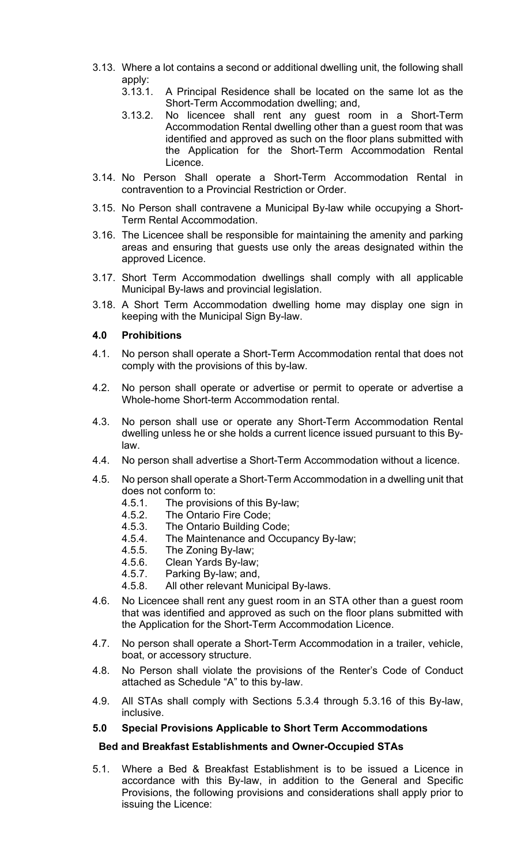- 3.13. Where a lot contains a second or additional dwelling unit, the following shall apply:
	- 3.13.1. A Principal Residence shall be located on the same lot as the Short-Term Accommodation dwelling; and,
	- 3.13.2. No licencee shall rent any guest room in a Short-Term Accommodation Rental dwelling other than a guest room that was identified and approved as such on the floor plans submitted with the Application for the Short-Term Accommodation Rental Licence.
- 3.14. No Person Shall operate a Short-Term Accommodation Rental in contravention to a Provincial Restriction or Order.
- 3.15. No Person shall contravene a Municipal By-law while occupying a Short-Term Rental Accommodation.
- 3.16. The Licencee shall be responsible for maintaining the amenity and parking areas and ensuring that guests use only the areas designated within the approved Licence.
- 3.17. Short Term Accommodation dwellings shall comply with all applicable Municipal By-laws and provincial legislation.
- 3.18. A Short Term Accommodation dwelling home may display one sign in keeping with the Municipal Sign By-law.

#### **4.0 Prohibitions**

- 4.1. No person shall operate a Short-Term Accommodation rental that does not comply with the provisions of this by-law.
- 4.2. No person shall operate or advertise or permit to operate or advertise a Whole-home Short-term Accommodation rental.
- 4.3. No person shall use or operate any Short-Term Accommodation Rental dwelling unless he or she holds a current licence issued pursuant to this Bylaw.
- 4.4. No person shall advertise a Short-Term Accommodation without a licence.
- 4.5. No person shall operate a Short-Term Accommodation in a dwelling unit that does not conform to:
	- 4.5.1. The provisions of this By-law;
	- 4.5.2. The Ontario Fire Code;
	- 4.5.3. The Ontario Building Code;
	- 4.5.4. The Maintenance and Occupancy By-law;<br>4.5.5. The Zoning By-law;
	- The Zoning By-law;
	- 4.5.6. Clean Yards By-law;
	- 4.5.7. Parking By-law; and,<br>4.5.8. All other relevant Mur
	- All other relevant Municipal By-laws.
- 4.6. No Licencee shall rent any guest room in an STA other than a guest room that was identified and approved as such on the floor plans submitted with the Application for the Short-Term Accommodation Licence.
- 4.7. No person shall operate a Short-Term Accommodation in a trailer, vehicle, boat, or accessory structure.
- 4.8. No Person shall violate the provisions of the Renter's Code of Conduct attached as Schedule "A" to this by-law.
- 4.9. All STAs shall comply with Sections 5.3.4 through 5.3.16 of this By-law, inclusive.

#### **5.0 Special Provisions Applicable to Short Term Accommodations**

#### **Bed and Breakfast Establishments and Owner-Occupied STAs**

5.1. Where a Bed & Breakfast Establishment is to be issued a Licence in accordance with this By-law, in addition to the General and Specific Provisions, the following provisions and considerations shall apply prior to issuing the Licence: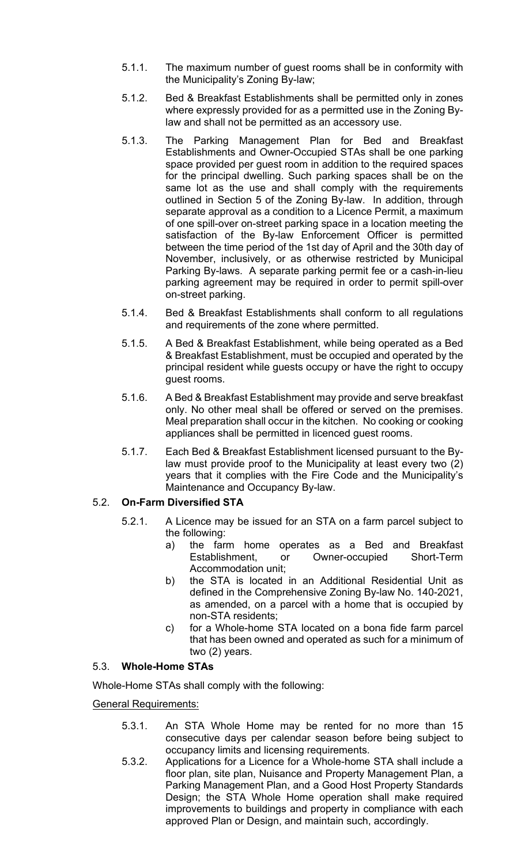- 5.1.1. The maximum number of guest rooms shall be in conformity with the Municipality's Zoning By-law;
- 5.1.2. Bed & Breakfast Establishments shall be permitted only in zones where expressly provided for as a permitted use in the Zoning Bylaw and shall not be permitted as an accessory use.
- 5.1.3. The Parking Management Plan for Bed and Breakfast Establishments and Owner-Occupied STAs shall be one parking space provided per guest room in addition to the required spaces for the principal dwelling. Such parking spaces shall be on the same lot as the use and shall comply with the requirements outlined in Section 5 of the Zoning By-law. In addition, through separate approval as a condition to a Licence Permit, a maximum of one spill-over on-street parking space in a location meeting the satisfaction of the By-law Enforcement Officer is permitted between the time period of the 1st day of April and the 30th day of November, inclusively, or as otherwise restricted by Municipal Parking By-laws. A separate parking permit fee or a cash-in-lieu parking agreement may be required in order to permit spill-over on-street parking.
- 5.1.4. Bed & Breakfast Establishments shall conform to all regulations and requirements of the zone where permitted.
- 5.1.5. A Bed & Breakfast Establishment, while being operated as a Bed & Breakfast Establishment, must be occupied and operated by the principal resident while guests occupy or have the right to occupy guest rooms.
- 5.1.6. A Bed & Breakfast Establishment may provide and serve breakfast only. No other meal shall be offered or served on the premises. Meal preparation shall occur in the kitchen. No cooking or cooking appliances shall be permitted in licenced guest rooms.
- 5.1.7. Each Bed & Breakfast Establishment licensed pursuant to the Bylaw must provide proof to the Municipality at least every two (2) years that it complies with the Fire Code and the Municipality's Maintenance and Occupancy By-law.

#### 5.2. **On-Farm Diversified STA**

- 5.2.1. A Licence may be issued for an STA on a farm parcel subject to the following:
	- a) the farm home operates as a Bed and Breakfast Establishment, or Owner-occupied Short-Term Accommodation unit;
	- b) the STA is located in an Additional Residential Unit as defined in the Comprehensive Zoning By-law No. 140-2021, as amended, on a parcel with a home that is occupied by non-STA residents;
	- c) for a Whole-home STA located on a bona fide farm parcel that has been owned and operated as such for a minimum of two (2) years.

#### 5.3. **Whole-Home STAs**

Whole-Home STAs shall comply with the following:

General Requirements:

- 5.3.1. An STA Whole Home may be rented for no more than 15 consecutive days per calendar season before being subject to occupancy limits and licensing requirements.
- 5.3.2. Applications for a Licence for a Whole-home STA shall include a floor plan, site plan, Nuisance and Property Management Plan, a Parking Management Plan, and a Good Host Property Standards Design; the STA Whole Home operation shall make required improvements to buildings and property in compliance with each approved Plan or Design, and maintain such, accordingly.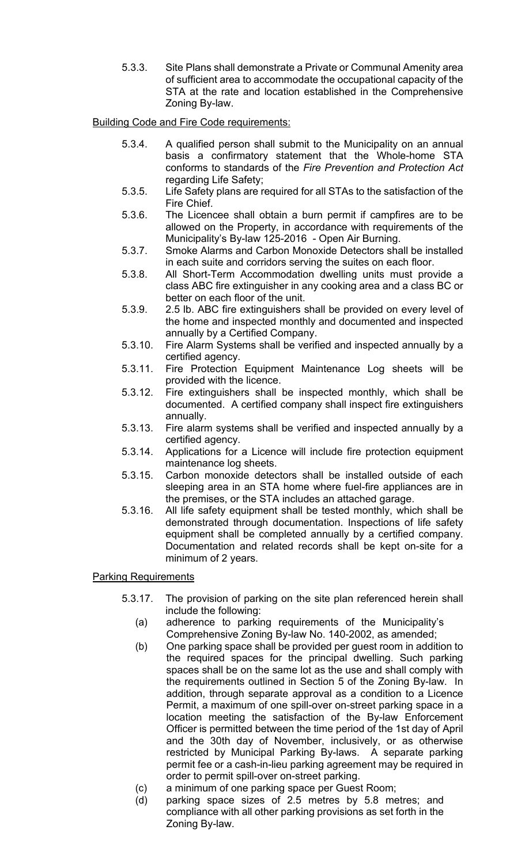5.3.3. Site Plans shall demonstrate a Private or Communal Amenity area of sufficient area to accommodate the occupational capacity of the STA at the rate and location established in the Comprehensive Zoning By-law.

## Building Code and Fire Code requirements:

- 5.3.4. A qualified person shall submit to the Municipality on an annual basis a confirmatory statement that the Whole-home STA conforms to standards of the *Fire Prevention and Protection Act* regarding Life Safety;
- 5.3.5. Life Safety plans are required for all STAs to the satisfaction of the Fire Chief.
- 5.3.6. The Licencee shall obtain a burn permit if campfires are to be allowed on the Property, in accordance with requirements of the Municipality's [By-law 125-2016 - Open Air Burning.](https://brighton.civicweb.net/filepro/document/67220/By-law%20125-2016%20Open%20Air%20Burning.pdf)
- 5.3.7. Smoke Alarms and Carbon Monoxide Detectors shall be installed in each suite and corridors serving the suites on each floor.
- 5.3.8. All Short-Term Accommodation dwelling units must provide a class ABC fire extinguisher in any cooking area and a class BC or better on each floor of the unit.
- 5.3.9. 2.5 lb. ABC fire extinguishers shall be provided on every level of the home and inspected monthly and documented and inspected annually by a Certified Company.
- 5.3.10. Fire Alarm Systems shall be verified and inspected annually by a certified agency.
- 5.3.11. Fire Protection Equipment Maintenance Log sheets will be provided with the licence.
- 5.3.12. Fire extinguishers shall be inspected monthly, which shall be documented. A certified company shall inspect fire extinguishers annually.
- 5.3.13. Fire alarm systems shall be verified and inspected annually by a certified agency.
- 5.3.14. Applications for a Licence will include fire protection equipment maintenance log sheets.
- 5.3.15. Carbon monoxide detectors shall be installed outside of each sleeping area in an STA home where fuel-fire appliances are in the premises, or the STA includes an attached garage.
- 5.3.16. All life safety equipment shall be tested monthly, which shall be demonstrated through documentation. Inspections of life safety equipment shall be completed annually by a certified company. Documentation and related records shall be kept on-site for a minimum of 2 years.

#### Parking Requirements

- 5.3.17. The provision of parking on the site plan referenced herein shall include the following:
	- (a) adherence to parking requirements of the Municipality's Comprehensive Zoning By-law No. 140-2002, as amended;
	- (b) One parking space shall be provided per guest room in addition to the required spaces for the principal dwelling. Such parking spaces shall be on the same lot as the use and shall comply with the requirements outlined in Section 5 of the Zoning By-law. In addition, through separate approval as a condition to a Licence Permit, a maximum of one spill-over on-street parking space in a location meeting the satisfaction of the By-law Enforcement Officer is permitted between the time period of the 1st day of April and the 30th day of November, inclusively, or as otherwise restricted by Municipal Parking By-laws. A separate parking permit fee or a cash-in-lieu parking agreement may be required in order to permit spill-over on-street parking.
	- (c) a minimum of one parking space per Guest Room;
	- (d) parking space sizes of 2.5 metres by 5.8 metres; and compliance with all other parking provisions as set forth in the Zoning By-law.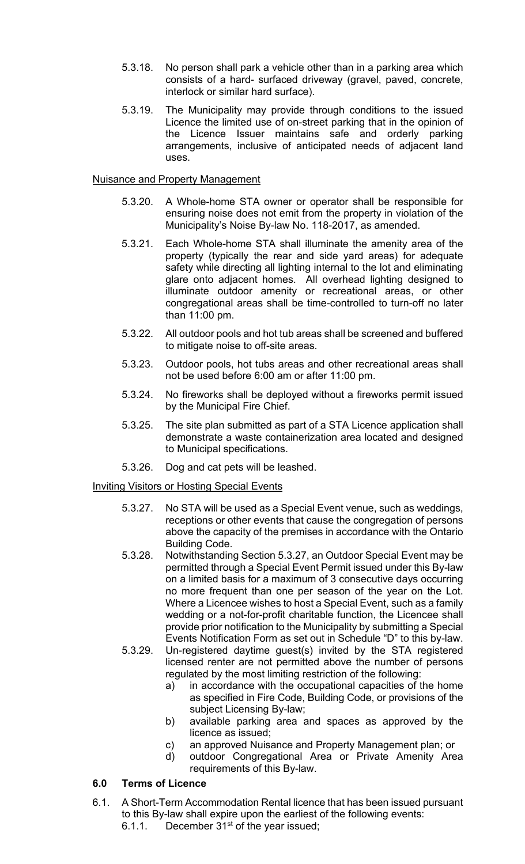- 5.3.18. No person shall park a vehicle other than in a parking area which consists of a hard- surfaced driveway (gravel, paved, concrete, interlock or similar hard surface).
- 5.3.19. The Municipality may provide through conditions to the issued Licence the limited use of on-street parking that in the opinion of the Licence Issuer maintains safe and orderly parking arrangements, inclusive of anticipated needs of adjacent land uses.

#### Nuisance and Property Management

- 5.3.20. A Whole-home STA owner or operator shall be responsible for ensuring noise does not emit from the property in violation of the Municipality's Noise By-law No. 118-2017, as amended.
- 5.3.21. Each Whole-home STA shall illuminate the amenity area of the property (typically the rear and side yard areas) for adequate safety while directing all lighting internal to the lot and eliminating glare onto adjacent homes. All overhead lighting designed to illuminate outdoor amenity or recreational areas, or other congregational areas shall be time-controlled to turn-off no later than 11:00 pm.
- 5.3.22. All outdoor pools and hot tub areas shall be screened and buffered to mitigate noise to off-site areas.
- 5.3.23. Outdoor pools, hot tubs areas and other recreational areas shall not be used before 6:00 am or after 11:00 pm.
- 5.3.24. No fireworks shall be deployed without a fireworks permit issued by the Municipal Fire Chief.
- 5.3.25. The site plan submitted as part of a STA Licence application shall demonstrate a waste containerization area located and designed to Municipal specifications.
- 5.3.26. Dog and cat pets will be leashed.

#### Inviting Visitors or Hosting Special Events

- 5.3.27. No STA will be used as a Special Event venue, such as weddings, receptions or other events that cause the congregation of persons above the capacity of the premises in accordance with the Ontario Building Code.
- 5.3.28. Notwithstanding Section 5.3.27, an Outdoor Special Event may be permitted through a Special Event Permit issued under this By-law on a limited basis for a maximum of 3 consecutive days occurring no more frequent than one per season of the year on the Lot. Where a Licencee wishes to host a Special Event, such as a family wedding or a not-for-profit charitable function, the Licencee shall provide prior notification to the Municipality by submitting a Special Events Notification Form as set out in Schedule "D" to this by-law.
- 5.3.29. Un-registered daytime guest(s) invited by the STA registered licensed renter are not permitted above the number of persons regulated by the most limiting restriction of the following:
	- a) in accordance with the occupational capacities of the home as specified in Fire Code, Building Code, or provisions of the subject Licensing By-law;
	- b) available parking area and spaces as approved by the licence as issued;
	- c) an approved Nuisance and Property Management plan; or
	- d) outdoor Congregational Area or Private Amenity Area requirements of this By-law.

### **6.0 Terms of Licence**

- 6.1. A Short-Term Accommodation Rental licence that has been issued pursuant to this By-law shall expire upon the earliest of the following events:
	- 6.1.1. December  $31<sup>st</sup>$  of the year issued;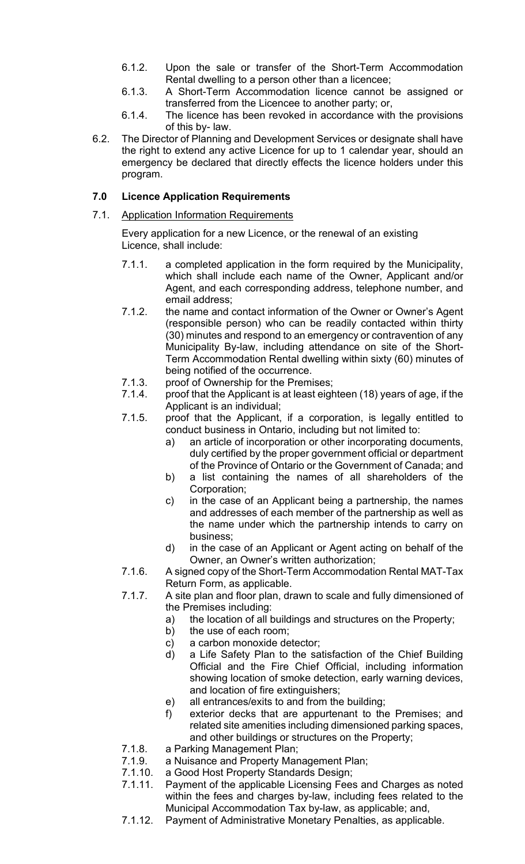- 6.1.2. Upon the sale or transfer of the Short-Term Accommodation Rental dwelling to a person other than a licencee;
- 6.1.3. A Short-Term Accommodation licence cannot be assigned or transferred from the Licencee to another party; or,
- 6.1.4. The licence has been revoked in accordance with the provisions of this by- law.
- 6.2. The Director of Planning and Development Services or designate shall have the right to extend any active Licence for up to 1 calendar year, should an emergency be declared that directly effects the licence holders under this program.

## **7.0 Licence Application Requirements**

7.1. Application Information Requirements

Every application for a new Licence, or the renewal of an existing Licence, shall include:

- 7.1.1. a completed application in the form required by the Municipality, which shall include each name of the Owner, Applicant and/or Agent, and each corresponding address, telephone number, and email address;
- 7.1.2. the name and contact information of the Owner or Owner's Agent (responsible person) who can be readily contacted within thirty (30) minutes and respond to an emergency or contravention of any Municipality By-law, including attendance on site of the Short-Term Accommodation Rental dwelling within sixty (60) minutes of being notified of the occurrence.
- 7.1.3. proof of Ownership for the Premises;
- 7.1.4. proof that the Applicant is at least eighteen (18) years of age, if the Applicant is an individual;
- 7.1.5. proof that the Applicant, if a corporation, is legally entitled to conduct business in Ontario, including but not limited to:
	- a) an article of incorporation or other incorporating documents, duly certified by the proper government official or department of the Province of Ontario or the Government of Canada; and
	- b) a list containing the names of all shareholders of the Corporation;
	- c) in the case of an Applicant being a partnership, the names and addresses of each member of the partnership as well as the name under which the partnership intends to carry on business;
	- d) in the case of an Applicant or Agent acting on behalf of the Owner, an Owner's written authorization;
- 7.1.6. A signed copy of the Short-Term Accommodation Rental MAT-Tax Return Form, as applicable.
- 7.1.7. A site plan and floor plan, drawn to scale and fully dimensioned of the Premises including:
	- a) the location of all buildings and structures on the Property;
	- b) the use of each room;
	- c) a carbon monoxide detector;
	- d) a Life Safety Plan to the satisfaction of the Chief Building Official and the Fire Chief Official, including information showing location of smoke detection, early warning devices, and location of fire extinguishers;
	- e) all entrances/exits to and from the building;
	- f) exterior decks that are appurtenant to the Premises; and related site amenities including dimensioned parking spaces, and other buildings or structures on the Property;
- 7.1.8. a Parking Management Plan;
- 7.1.9. a Nuisance and Property Management Plan;
- 7.1.10. a Good Host Property Standards Design;<br>7.1.11. Pavment of the applicable Licensing Fees
- Payment of the applicable Licensing Fees and Charges as noted within the fees and charges by-law, including fees related to the Municipal Accommodation Tax by-law, as applicable; and,
- 7.1.12. Payment of Administrative Monetary Penalties, as applicable.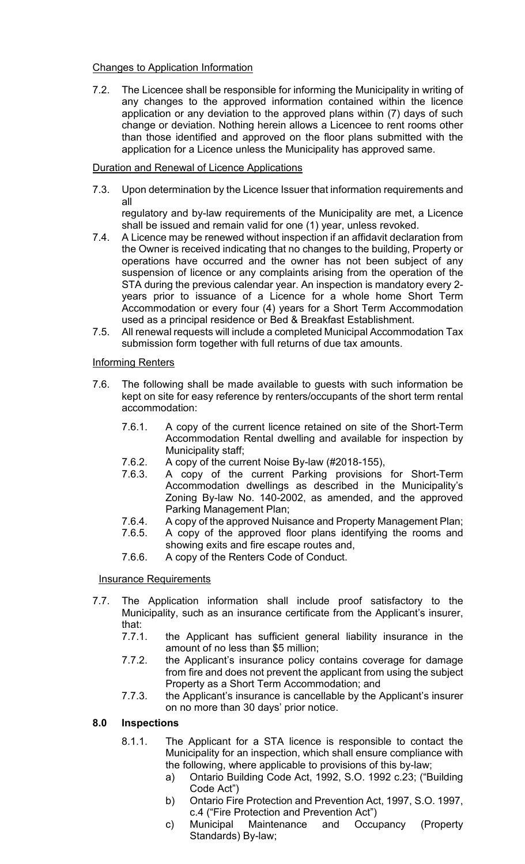#### Changes to Application Information

7.2. The Licencee shall be responsible for informing the Municipality in writing of any changes to the approved information contained within the licence application or any deviation to the approved plans within (7) days of such change or deviation. Nothing herein allows a Licencee to rent rooms other than those identified and approved on the floor plans submitted with the application for a Licence unless the Municipality has approved same.

#### Duration and Renewal of Licence Applications

7.3. Upon determination by the Licence Issuer that information requirements and all

regulatory and by-law requirements of the Municipality are met, a Licence shall be issued and remain valid for one (1) year, unless revoked.

- 7.4. A Licence may be renewed without inspection if an affidavit declaration from the Owner is received indicating that no changes to the building, Property or operations have occurred and the owner has not been subject of any suspension of licence or any complaints arising from the operation of the STA during the previous calendar year. An inspection is mandatory every 2 years prior to issuance of a Licence for a whole home Short Term Accommodation or every four (4) years for a Short Term Accommodation used as a principal residence or Bed & Breakfast Establishment.
- 7.5. All renewal requests will include a completed Municipal Accommodation Tax submission form together with full returns of due tax amounts.

#### Informing Renters

- 7.6. The following shall be made available to guests with such information be kept on site for easy reference by renters/occupants of the short term rental accommodation:
	- 7.6.1. A copy of the current licence retained on site of the Short-Term Accommodation Rental dwelling and available for inspection by Municipality staff;
	- 7.6.2. A copy of the current Noise By-law (#2018-155),
	- 7.6.3. A copy of the current Parking provisions for Short-Term Accommodation dwellings as described in the Municipality's Zoning By-law No. 140-2002, as amended, and the approved Parking Management Plan;
	- 7.6.4. A copy of the approved Nuisance and Property Management Plan;
	- 7.6.5. A copy of the approved floor plans identifying the rooms and showing exits and fire escape routes and,
	- 7.6.6. A copy of the Renters Code of Conduct.

#### **Insurance Requirements**

- 7.7. The Application information shall include proof satisfactory to the Municipality, such as an insurance certificate from the Applicant's insurer, that:
	- 7.7.1. the Applicant has sufficient general liability insurance in the amount of no less than \$5 million;
	- 7.7.2. the Applicant's insurance policy contains coverage for damage from fire and does not prevent the applicant from using the subject Property as a Short Term Accommodation; and
	- 7.7.3. the Applicant's insurance is cancellable by the Applicant's insurer on no more than 30 days' prior notice.

#### **8.0 Inspections**

- 8.1.1. The Applicant for a STA licence is responsible to contact the Municipality for an inspection, which shall ensure compliance with the following, where applicable to provisions of this by-law;
	- a) Ontario Building Code Act, 1992, S.O. 1992 c.23; ("Building Code Act")
	- b) Ontario Fire Protection and Prevention Act, 1997, S.O. 1997,
	- c.4 ("Fire Protection and Prevention Act")<br>Municipal Maintenance and Occu c) Municipal Maintenance and Occupancy (Property Standards) By-law;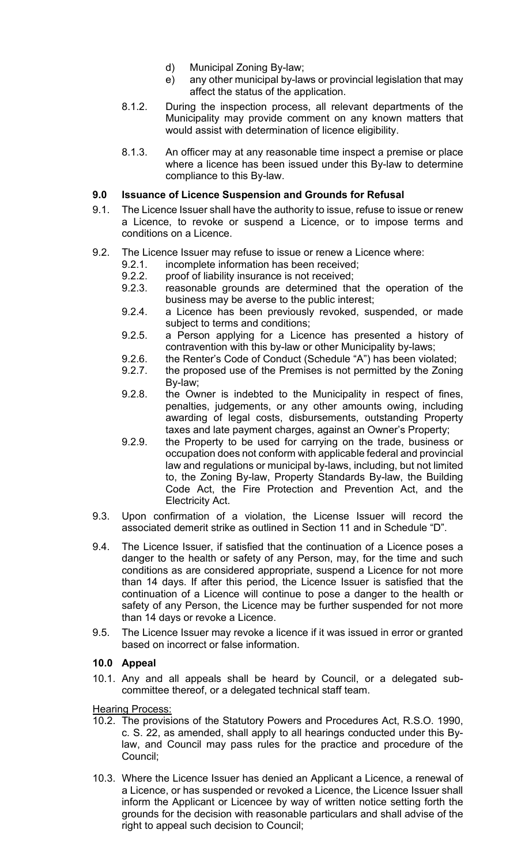- d) Municipal Zoning By-law;
- e) any other municipal by-laws or provincial legislation that may affect the status of the application.
- 8.1.2. During the inspection process, all relevant departments of the Municipality may provide comment on any known matters that would assist with determination of licence eligibility.
- 8.1.3. An officer may at any reasonable time inspect a premise or place where a licence has been issued under this By-law to determine compliance to this By-law.

## **9.0 Issuance of Licence Suspension and Grounds for Refusal**

- 9.1. The Licence Issuer shall have the authority to issue, refuse to issue or renew a Licence, to revoke or suspend a Licence, or to impose terms and conditions on a Licence.
- 9.2. The Licence Issuer may refuse to issue or renew a Licence where:
	- 9.2.1. incomplete information has been received;
	-
	- 9.2.2. proof of liability insurance is not received;<br>9.2.3. reasonable grounds are determined tha reasonable grounds are determined that the operation of the business may be averse to the public interest;
	- 9.2.4. a Licence has been previously revoked, suspended, or made subject to terms and conditions;
	- 9.2.5. a Person applying for a Licence has presented a history of contravention with this by-law or other Municipality by-laws;
	- 9.2.6. the Renter's Code of Conduct (Schedule "A") has been violated;
	- 9.2.7. the proposed use of the Premises is not permitted by the Zoning By-law;
	- 9.2.8. the Owner is indebted to the Municipality in respect of fines, penalties, judgements, or any other amounts owing, including awarding of legal costs, disbursements, outstanding Property taxes and late payment charges, against an Owner's Property;
	- 9.2.9. the Property to be used for carrying on the trade, business or occupation does not conform with applicable federal and provincial law and regulations or municipal by-laws, including, but not limited to, the Zoning By-law, Property Standards By-law, the Building Code Act, the Fire Protection and Prevention Act, and the Electricity Act.
- 9.3. Upon confirmation of a violation, the License Issuer will record the associated demerit strike as outlined in Section 11 and in Schedule "D".
- 9.4. The Licence Issuer, if satisfied that the continuation of a Licence poses a danger to the health or safety of any Person, may, for the time and such conditions as are considered appropriate, suspend a Licence for not more than 14 days. If after this period, the Licence Issuer is satisfied that the continuation of a Licence will continue to pose a danger to the health or safety of any Person, the Licence may be further suspended for not more than 14 days or revoke a Licence.
- 9.5. The Licence Issuer may revoke a licence if it was issued in error or granted based on incorrect or false information.

#### **10.0 Appeal**

10.1. Any and all appeals shall be heard by Council, or a delegated subcommittee thereof, or a delegated technical staff team.

**Hearing Process:** 

- 10.2. The provisions of the Statutory Powers and Procedures Act, R.S.O. 1990, c. S. 22, as amended, shall apply to all hearings conducted under this Bylaw, and Council may pass rules for the practice and procedure of the Council;
- 10.3. Where the Licence Issuer has denied an Applicant a Licence, a renewal of a Licence, or has suspended or revoked a Licence, the Licence Issuer shall inform the Applicant or Licencee by way of written notice setting forth the grounds for the decision with reasonable particulars and shall advise of the right to appeal such decision to Council;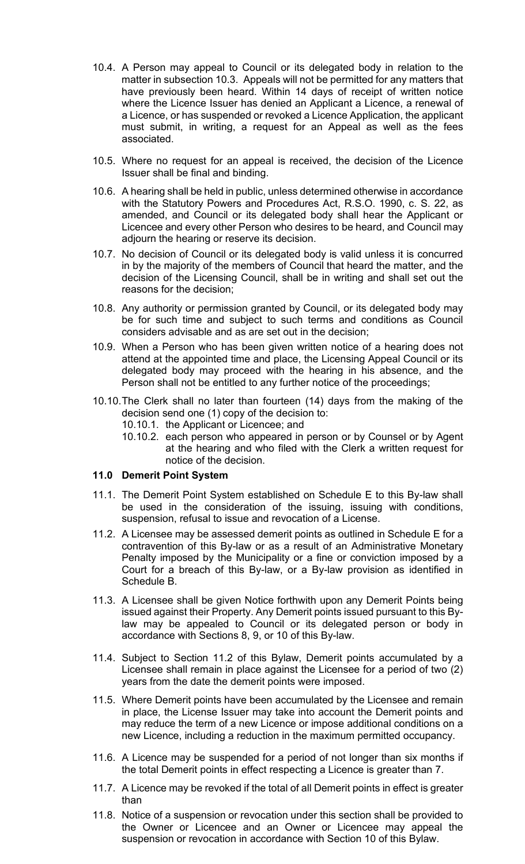- 10.4. A Person may appeal to Council or its delegated body in relation to the matter in subsection 10.3. Appeals will not be permitted for any matters that have previously been heard. Within 14 days of receipt of written notice where the Licence Issuer has denied an Applicant a Licence, a renewal of a Licence, or has suspended or revoked a Licence Application, the applicant must submit, in writing, a request for an Appeal as well as the fees associated.
- 10.5. Where no request for an appeal is received, the decision of the Licence Issuer shall be final and binding.
- 10.6. A hearing shall be held in public, unless determined otherwise in accordance with the Statutory Powers and Procedures Act, R.S.O. 1990, c. S. 22, as amended, and Council or its delegated body shall hear the Applicant or Licencee and every other Person who desires to be heard, and Council may adjourn the hearing or reserve its decision.
- 10.7. No decision of Council or its delegated body is valid unless it is concurred in by the majority of the members of Council that heard the matter, and the decision of the Licensing Council, shall be in writing and shall set out the reasons for the decision;
- 10.8. Any authority or permission granted by Council, or its delegated body may be for such time and subject to such terms and conditions as Council considers advisable and as are set out in the decision;
- 10.9. When a Person who has been given written notice of a hearing does not attend at the appointed time and place, the Licensing Appeal Council or its delegated body may proceed with the hearing in his absence, and the Person shall not be entitled to any further notice of the proceedings;
- 10.10.The Clerk shall no later than fourteen (14) days from the making of the decision send one (1) copy of the decision to: 10.10.1. the Applicant or Licencee; and
	- 10.10.2. each person who appeared in person or by Counsel or by Agent at the hearing and who filed with the Clerk a written request for notice of the decision.

#### **11.0 Demerit Point System**

- 11.1. The Demerit Point System established on Schedule E to this By-law shall be used in the consideration of the issuing, issuing with conditions, suspension, refusal to issue and revocation of a License.
- 11.2. A Licensee may be assessed demerit points as outlined in Schedule E for a contravention of this By-law or as a result of an Administrative Monetary Penalty imposed by the Municipality or a fine or conviction imposed by a Court for a breach of this By-law, or a By-law provision as identified in Schedule B.
- 11.3. A Licensee shall be given Notice forthwith upon any Demerit Points being issued against their Property. Any Demerit points issued pursuant to this Bylaw may be appealed to Council or its delegated person or body in accordance with Sections 8, 9, or 10 of this By-law.
- 11.4. Subject to Section 11.2 of this Bylaw, Demerit points accumulated by a Licensee shall remain in place against the Licensee for a period of two (2) years from the date the demerit points were imposed.
- 11.5. Where Demerit points have been accumulated by the Licensee and remain in place, the License Issuer may take into account the Demerit points and may reduce the term of a new Licence or impose additional conditions on a new Licence, including a reduction in the maximum permitted occupancy.
- 11.6. A Licence may be suspended for a period of not longer than six months if the total Demerit points in effect respecting a Licence is greater than 7.
- 11.7. A Licence may be revoked if the total of all Demerit points in effect is greater than
- 11.8. Notice of a suspension or revocation under this section shall be provided to the Owner or Licencee and an Owner or Licencee may appeal the suspension or revocation in accordance with Section 10 of this Bylaw.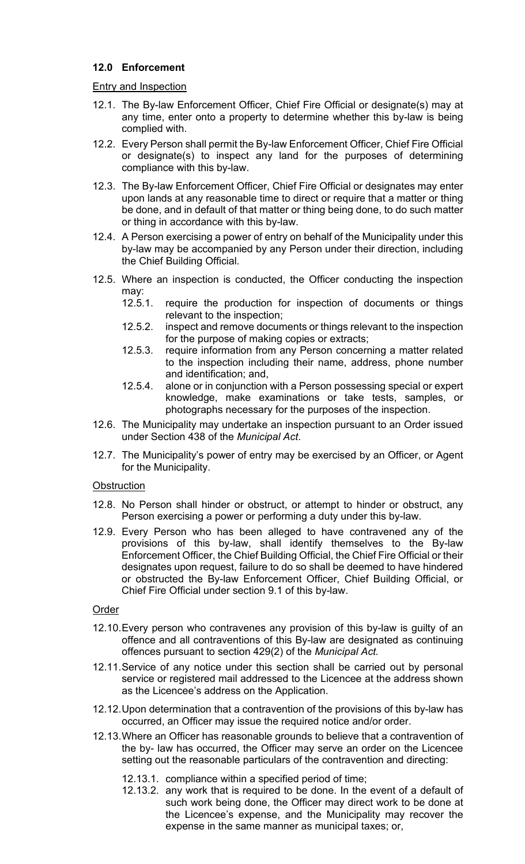## **12.0 Enforcement**

#### Entry and Inspection

- 12.1. The By-law Enforcement Officer, Chief Fire Official or designate(s) may at any time, enter onto a property to determine whether this by-law is being complied with.
- 12.2. Every Person shall permit the By-law Enforcement Officer, Chief Fire Official or designate(s) to inspect any land for the purposes of determining compliance with this by-law.
- 12.3. The By-law Enforcement Officer, Chief Fire Official or designates may enter upon lands at any reasonable time to direct or require that a matter or thing be done, and in default of that matter or thing being done, to do such matter or thing in accordance with this by-law.
- 12.4. A Person exercising a power of entry on behalf of the Municipality under this by-law may be accompanied by any Person under their direction, including the Chief Building Official.
- 12.5. Where an inspection is conducted, the Officer conducting the inspection may:<br>12.5.1.
	- require the production for inspection of documents or things relevant to the inspection;
	- 12.5.2. inspect and remove documents or things relevant to the inspection for the purpose of making copies or extracts;
	- 12.5.3. require information from any Person concerning a matter related to the inspection including their name, address, phone number and identification; and,
	- 12.5.4. alone or in conjunction with a Person possessing special or expert knowledge, make examinations or take tests, samples, or photographs necessary for the purposes of the inspection.
- 12.6. The Municipality may undertake an inspection pursuant to an Order issued under Section 438 of the *Municipal Act*.
- 12.7. The Municipality's power of entry may be exercised by an Officer, or Agent for the Municipality.

#### **Obstruction**

- 12.8. No Person shall hinder or obstruct, or attempt to hinder or obstruct, any Person exercising a power or performing a duty under this by-law.
- 12.9. Every Person who has been alleged to have contravened any of the provisions of this by-law, shall identify themselves to the By-law Enforcement Officer, the Chief Building Official, the Chief Fire Official or their designates upon request, failure to do so shall be deemed to have hindered or obstructed the By-law Enforcement Officer, Chief Building Official, or Chief Fire Official under section 9.1 of this by-law.

## Order

- 12.10.Every person who contravenes any provision of this by-law is guilty of an offence and all contraventions of this By-law are designated as continuing offences pursuant to section 429(2) of the *Municipal Act.*
- 12.11.Service of any notice under this section shall be carried out by personal service or registered mail addressed to the Licencee at the address shown as the Licencee's address on the Application.
- 12.12.Upon determination that a contravention of the provisions of this by-law has occurred, an Officer may issue the required notice and/or order.
- 12.13.Where an Officer has reasonable grounds to believe that a contravention of the by- law has occurred, the Officer may serve an order on the Licencee setting out the reasonable particulars of the contravention and directing:
	- 12.13.1. compliance within a specified period of time;
	- 12.13.2. any work that is required to be done. In the event of a default of such work being done, the Officer may direct work to be done at the Licencee's expense, and the Municipality may recover the expense in the same manner as municipal taxes; or,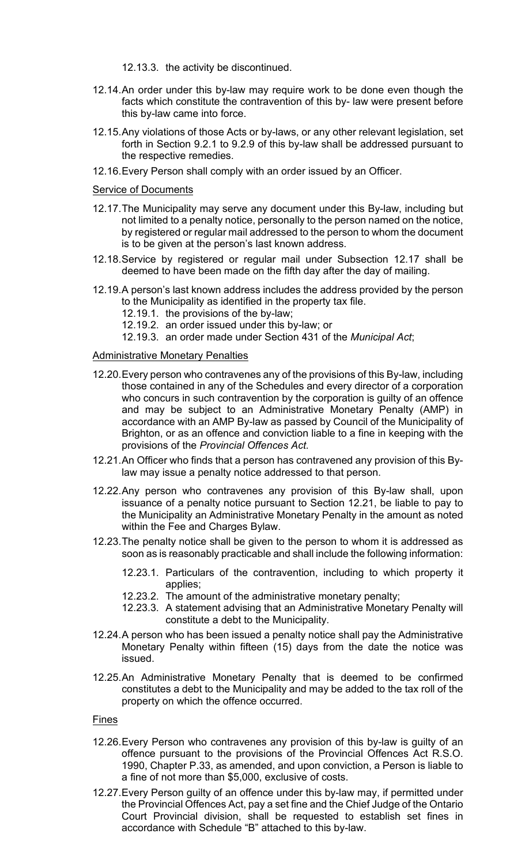- 12.13.3. the activity be discontinued.
- 12.14.An order under this by-law may require work to be done even though the facts which constitute the contravention of this by- law were present before this by-law came into force.
- 12.15.Any violations of those Acts or by-laws, or any other relevant legislation, set forth in Section 9.2.1 to 9.2.9 of this by-law shall be addressed pursuant to the respective remedies.
- 12.16.Every Person shall comply with an order issued by an Officer.

#### Service of Documents

- 12.17.The Municipality may serve any document under this By-law, including but not limited to a penalty notice, personally to the person named on the notice, by registered or regular mail addressed to the person to whom the document is to be given at the person's last known address.
- 12.18.Service by registered or regular mail under Subsection 12.17 shall be deemed to have been made on the fifth day after the day of mailing.
- 12.19.A person's last known address includes the address provided by the person to the Municipality as identified in the property tax file.
	- 12.19.1. the provisions of the by-law;
	- 12.19.2. an order issued under this by-law; or
	- 12.19.3. an order made under Section 431 of the *Municipal Act*;

#### **Administrative Monetary Penalties**

- 12.20.Every person who contravenes any of the provisions of this By-law, including those contained in any of the Schedules and every director of a corporation who concurs in such contravention by the corporation is guilty of an offence and may be subject to an Administrative Monetary Penalty (AMP) in accordance with an AMP By-law as passed by Council of the Municipality of Brighton, or as an offence and conviction liable to a fine in keeping with the provisions of the *Provincial Offences Act.*
- 12.21.An Officer who finds that a person has contravened any provision of this Bylaw may issue a penalty notice addressed to that person.
- 12.22.Any person who contravenes any provision of this By-law shall, upon issuance of a penalty notice pursuant to Section 12.21, be liable to pay to the Municipality an Administrative Monetary Penalty in the amount as noted within the Fee and Charges Bylaw.
- 12.23.The penalty notice shall be given to the person to whom it is addressed as soon as is reasonably practicable and shall include the following information:
	- 12.23.1. Particulars of the contravention, including to which property it applies;
	- 12.23.2. The amount of the administrative monetary penalty;
	- 12.23.3. A statement advising that an Administrative Monetary Penalty will constitute a debt to the Municipality.
- 12.24.A person who has been issued a penalty notice shall pay the Administrative Monetary Penalty within fifteen (15) days from the date the notice was issued.
- 12.25.An Administrative Monetary Penalty that is deemed to be confirmed constitutes a debt to the Municipality and may be added to the tax roll of the property on which the offence occurred.

#### Fines

- 12.26.Every Person who contravenes any provision of this by-law is guilty of an offence pursuant to the provisions of the Provincial Offences Act R.S.O. 1990, Chapter P.33, as amended, and upon conviction, a Person is liable to a fine of not more than \$5,000, exclusive of costs.
- 12.27.Every Person guilty of an offence under this by-law may, if permitted under the Provincial Offences Act, pay a set fine and the Chief Judge of the Ontario Court Provincial division, shall be requested to establish set fines in accordance with Schedule "B" attached to this by-law.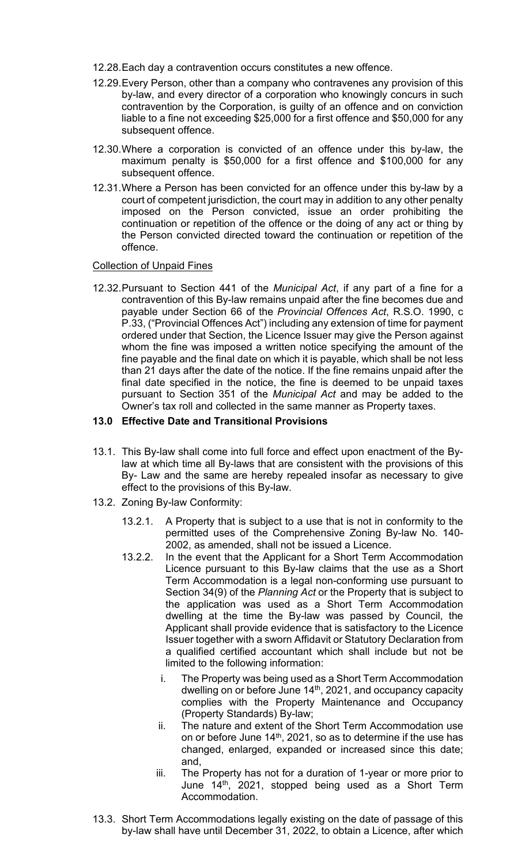- 12.28.Each day a contravention occurs constitutes a new offence.
- 12.29.Every Person, other than a company who contravenes any provision of this by-law, and every director of a corporation who knowingly concurs in such contravention by the Corporation, is guilty of an offence and on conviction liable to a fine not exceeding \$25,000 for a first offence and \$50,000 for any subsequent offence.
- 12.30.Where a corporation is convicted of an offence under this by-law, the maximum penalty is \$50,000 for a first offence and \$100,000 for any subsequent offence.
- 12.31.Where a Person has been convicted for an offence under this by-law by a court of competent jurisdiction, the court may in addition to any other penalty imposed on the Person convicted, issue an order prohibiting the continuation or repetition of the offence or the doing of any act or thing by the Person convicted directed toward the continuation or repetition of the offence.

#### Collection of Unpaid Fines

12.32.Pursuant to Section 441 of the *Municipal Act*, if any part of a fine for a contravention of this By-law remains unpaid after the fine becomes due and payable under Section 66 of the *Provincial Offences Act*, R.S.O. 1990, c P.33, ("Provincial Offences Act") including any extension of time for payment ordered under that Section, the Licence Issuer may give the Person against whom the fine was imposed a written notice specifying the amount of the fine payable and the final date on which it is payable, which shall be not less than 21 days after the date of the notice. If the fine remains unpaid after the final date specified in the notice, the fine is deemed to be unpaid taxes pursuant to Section 351 of the *Municipal Act* and may be added to the Owner's tax roll and collected in the same manner as Property taxes.

#### **13.0 Effective Date and Transitional Provisions**

- 13.1. This By-law shall come into full force and effect upon enactment of the Bylaw at which time all By-laws that are consistent with the provisions of this By- Law and the same are hereby repealed insofar as necessary to give effect to the provisions of this By-law.
- 13.2. Zoning By-law Conformity:
	- 13.2.1. A Property that is subject to a use that is not in conformity to the permitted uses of the Comprehensive Zoning By-law No. 140- 2002, as amended, shall not be issued a Licence.
	- 13.2.2. In the event that the Applicant for a Short Term Accommodation Licence pursuant to this By-law claims that the use as a Short Term Accommodation is a legal non-conforming use pursuant to Section 34(9) of the *Planning Act* or the Property that is subject to the application was used as a Short Term Accommodation dwelling at the time the By-law was passed by Council, the Applicant shall provide evidence that is satisfactory to the Licence Issuer together with a sworn Affidavit or Statutory Declaration from a qualified certified accountant which shall include but not be limited to the following information:
		- i. The Property was being used as a Short Term Accommodation dwelling on or before June 14<sup>th</sup>, 2021, and occupancy capacity complies with the Property Maintenance and Occupancy (Property Standards) By-law;
		- ii. The nature and extent of the Short Term Accommodation use on or before June 14th, 2021, so as to determine if the use has changed, enlarged, expanded or increased since this date; and,
		- iii. The Property has not for a duration of 1-year or more prior to June 14th, 2021, stopped being used as a Short Term Accommodation.
- 13.3. Short Term Accommodations legally existing on the date of passage of this by-law shall have until December 31, 2022, to obtain a Licence, after which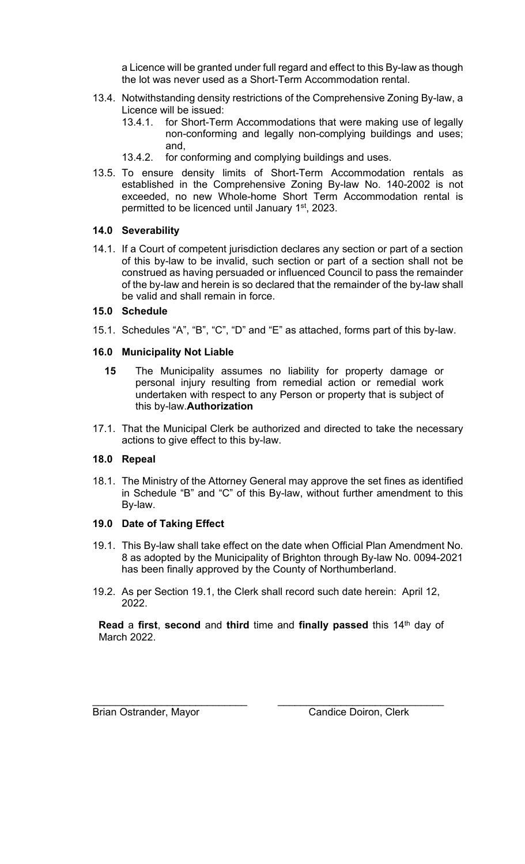a Licence will be granted under full regard and effect to this By-law as though the lot was never used as a Short-Term Accommodation rental.

- 13.4. Notwithstanding density restrictions of the Comprehensive Zoning By-law, a Licence will be issued:
	- 13.4.1. for Short-Term Accommodations that were making use of legally non-conforming and legally non-complying buildings and uses; and,
	- 13.4.2. for conforming and complying buildings and uses.
- 13.5. To ensure density limits of Short-Term Accommodation rentals as established in the Comprehensive Zoning By-law No. 140-2002 is not exceeded, no new Whole-home Short Term Accommodation rental is permitted to be licenced until January 1<sup>st</sup>, 2023.

## **14.0 Severability**

14.1. If a Court of competent jurisdiction declares any section or part of a section of this by-law to be invalid, such section or part of a section shall not be construed as having persuaded or influenced Council to pass the remainder of the by-law and herein is so declared that the remainder of the by-law shall be valid and shall remain in force.

#### **15.0 Schedule**

15.1. Schedules "A", "B", "C", "D" and "E" as attached, forms part of this by-law.

## **16.0 Municipality Not Liable**

- **15** The Municipality assumes no liability for property damage or personal injury resulting from remedial action or remedial work undertaken with respect to any Person or property that is subject of this by-law.**Authorization**
- 17.1. That the Municipal Clerk be authorized and directed to take the necessary actions to give effect to this by-law.

#### **18.0 Repeal**

18.1. The Ministry of the Attorney General may approve the set fines as identified in Schedule "B" and "C" of this By-law, without further amendment to this By-law.

#### **19.0 Date of Taking Effect**

- 19.1. This By-law shall take effect on the date when Official Plan Amendment No. 8 as adopted by the Municipality of Brighton through By-law No. 0094-2021 has been finally approved by the County of Northumberland.
- 19.2. As per Section 19.1, the Clerk shall record such date herein: April 12, 2022.

**Read a first, second and third time and finally passed this 14<sup>th</sup> day of** March 2022.

\_\_\_\_\_\_\_\_\_\_\_\_\_\_\_\_\_\_\_\_\_\_\_\_\_\_\_ \_\_\_\_\_\_\_\_\_\_\_\_\_\_\_\_\_\_\_\_\_\_\_\_\_\_\_\_\_

Brian Ostrander, Mayor Candice Doiron, Clerk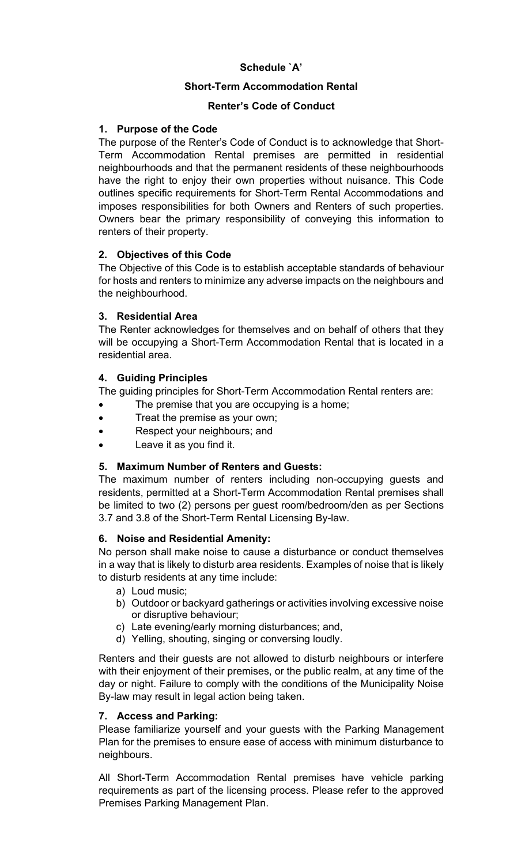# **Schedule `A'**

## **Short-Term Accommodation Rental**

## **Renter's Code of Conduct**

## **1. Purpose of the Code**

The purpose of the Renter's Code of Conduct is to acknowledge that Short-Term Accommodation Rental premises are permitted in residential neighbourhoods and that the permanent residents of these neighbourhoods have the right to enjoy their own properties without nuisance. This Code outlines specific requirements for Short-Term Rental Accommodations and imposes responsibilities for both Owners and Renters of such properties. Owners bear the primary responsibility of conveying this information to renters of their property.

## **2. Objectives of this Code**

The Objective of this Code is to establish acceptable standards of behaviour for hosts and renters to minimize any adverse impacts on the neighbours and the neighbourhood.

## **3. Residential Area**

The Renter acknowledges for themselves and on behalf of others that they will be occupying a Short-Term Accommodation Rental that is located in a residential area.

#### **4. Guiding Principles**

The guiding principles for Short-Term Accommodation Rental renters are:

- The premise that you are occupying is a home;
- Treat the premise as your own;
- Respect your neighbours; and
- Leave it as you find it.

#### **5. Maximum Number of Renters and Guests:**

The maximum number of renters including non-occupying guests and residents, permitted at a Short-Term Accommodation Rental premises shall be limited to two (2) persons per guest room/bedroom/den as per Sections 3.7 and 3.8 of the Short-Term Rental Licensing By-law.

#### **6. Noise and Residential Amenity:**

No person shall make noise to cause a disturbance or conduct themselves in a way that is likely to disturb area residents. Examples of noise that is likely to disturb residents at any time include:

- a) Loud music;
- b) Outdoor or backyard gatherings or activities involving excessive noise or disruptive behaviour;
- c) Late evening/early morning disturbances; and,
- d) Yelling, shouting, singing or conversing loudly.

Renters and their guests are not allowed to disturb neighbours or interfere with their enjoyment of their premises, or the public realm, at any time of the day or night. Failure to comply with the conditions of the Municipality Noise By-law may result in legal action being taken.

#### **7. Access and Parking:**

Please familiarize yourself and your guests with the Parking Management Plan for the premises to ensure ease of access with minimum disturbance to neighbours.

All Short-Term Accommodation Rental premises have vehicle parking requirements as part of the licensing process. Please refer to the approved Premises Parking Management Plan.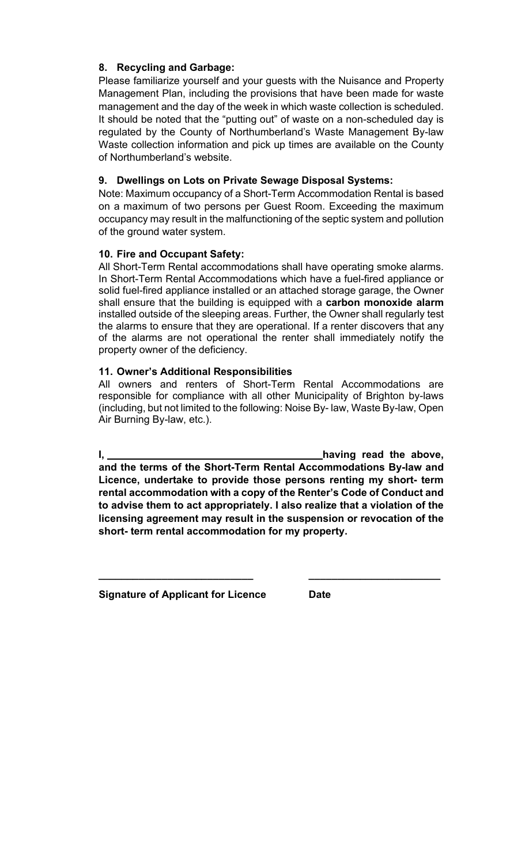## **8. Recycling and Garbage:**

Please familiarize yourself and your guests with the Nuisance and Property Management Plan, including the provisions that have been made for waste management and the day of the week in which waste collection is scheduled. It should be noted that the "putting out" of waste on a non-scheduled day is regulated by the County of Northumberland's Waste Management By-law Waste collection information and pick up times are available on the County of Northumberland's website.

## **9. Dwellings on Lots on Private Sewage Disposal Systems:**

Note: Maximum occupancy of a Short-Term Accommodation Rental is based on a maximum of two persons per Guest Room. Exceeding the maximum occupancy may result in the malfunctioning of the septic system and pollution of the ground water system.

## **10. Fire and Occupant Safety:**

All Short-Term Rental accommodations shall have operating smoke alarms. In Short-Term Rental Accommodations which have a fuel-fired appliance or solid fuel-fired appliance installed or an attached storage garage, the Owner shall ensure that the building is equipped with a **carbon monoxide alarm**  installed outside of the sleeping areas. Further, the Owner shall regularly test the alarms to ensure that they are operational. If a renter discovers that any of the alarms are not operational the renter shall immediately notify the property owner of the deficiency.

#### **11. Owner's Additional Responsibilities**

All owners and renters of Short-Term Rental Accommodations are responsible for compliance with all other Municipality of Brighton by-laws (including, but not limited to the following: Noise By- law, Waste By-law, Open Air Burning By-law, etc.).

**I**, <u>**having read the above,** having read the above,</u> **and the terms of the Short-Term Rental Accommodations By-law and Licence, undertake to provide those persons renting my short- term rental accommodation with a copy of the Renter's Code of Conduct and to advise them to act appropriately. I also realize that a violation of the licensing agreement may result in the suspension or revocation of the short- term rental accommodation for my property.**

**\_\_\_\_\_\_\_\_\_\_\_\_\_\_\_\_\_\_\_\_\_\_\_\_\_\_\_ \_\_\_\_\_\_\_\_\_\_\_\_\_\_\_\_\_\_\_\_\_\_\_**

**Signature of Applicant for Licence Date**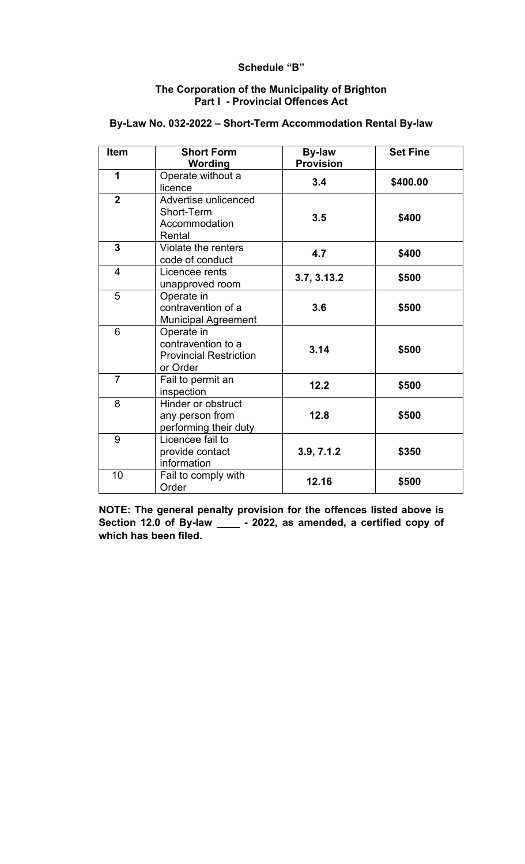#### **Schedule "B"**

#### **The Corporation of the Municipality of Brighton Part I - Provincial Offences Act**

| Item           | <b>Short Form</b><br>Wording                                                  | <b>By-law</b><br><b>Provision</b> | <b>Set Fine</b> |
|----------------|-------------------------------------------------------------------------------|-----------------------------------|-----------------|
| 1              | Operate without a<br>licence                                                  | 3.4                               | \$400.00        |
| $\overline{2}$ | Advertise unlicenced<br>Short-Term<br>Accommodation<br>Rental                 | 3.5                               | \$400           |
| 3              | Violate the renters<br>code of conduct                                        | 4.7                               | \$400           |
| 4              | Licencee rents<br>unapproved room                                             | 3.7, 3.13.2                       | \$500           |
| 5              | Operate in<br>contravention of a<br><b>Municipal Agreement</b>                | 3.6                               | \$500           |
| 6              | Operate in<br>contravention to a<br><b>Provincial Restriction</b><br>or Order | 3.14                              | \$500           |
| $\overline{7}$ | Fail to permit an<br>inspection                                               | 12.2                              | \$500           |
| 8              | Hinder or obstruct<br>any person from<br>performing their duty                | 12.8                              | \$500           |
| 9              | Licencee fail to<br>provide contact<br>information                            | 3.9, 7.1.2                        | \$350           |
| 10             | Fail to comply with<br>Order                                                  | 12.16                             | \$500           |

## **By-Law No. 032-2022 – Short-Term Accommodation Rental By-law**

**NOTE: The general penalty provision for the offences listed above is Section 12.0 of By-law \_\_\_\_ - 2022, as amended, a certified copy of which has been filed.**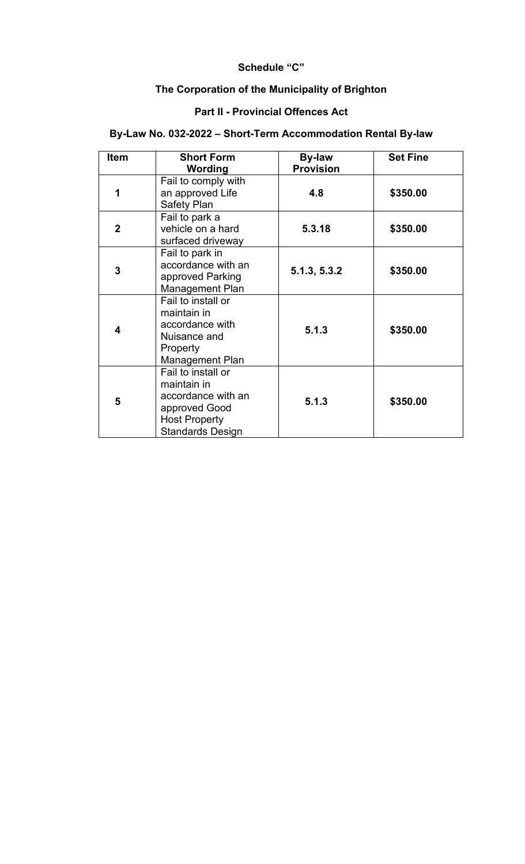#### **Schedule "C"**

# **The Corporation of the Municipality of Brighton**

# **Part II - Provincial Offences Act**

# **By-Law No. 032-2022 – Short-Term Accommodation Rental By-law**

| <b>Item</b>  | <b>Short Form</b>                                                                                                           | <b>By-law</b>    | <b>Set Fine</b> |
|--------------|-----------------------------------------------------------------------------------------------------------------------------|------------------|-----------------|
|              | Wording                                                                                                                     | <b>Provision</b> |                 |
| 1            | Fail to comply with<br>an approved Life<br>Safety Plan                                                                      | 4.8              | \$350.00        |
| $\mathbf{2}$ | Fail to park a<br>vehicle on a hard<br>surfaced driveway                                                                    | 5.3.18           | \$350.00        |
| 3            | Fail to park in<br>accordance with an<br>approved Parking<br><b>Management Plan</b>                                         | 5.1.3, 5.3.2     | \$350.00        |
| 4            | Fail to install or<br>maintain in<br>accordance with<br>Nuisance and<br>Property<br>Management Plan                         | 5.1.3            | \$350.00        |
| 5            | Fail to install or<br>maintain in<br>accordance with an<br>approved Good<br><b>Host Property</b><br><b>Standards Design</b> | 5.1.3            | \$350.00        |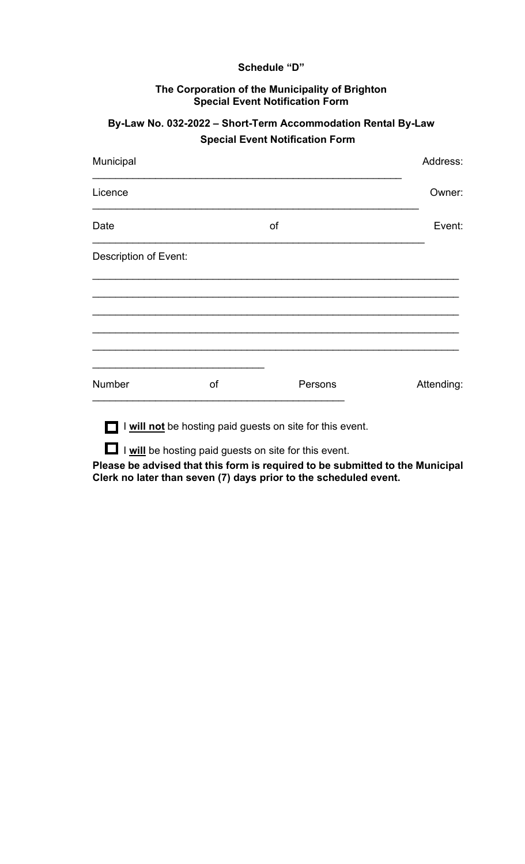#### **Schedule "D"**

#### **The Corporation of the Municipality of Brighton Special Event Notification Form**

# **By-Law No. 032-2022 – Short-Term Accommodation Rental By-Law Special Event Notification Form**

| Municipal                    |    |                                                           | Address:   |
|------------------------------|----|-----------------------------------------------------------|------------|
| Licence                      |    |                                                           | Owner:     |
| Date                         |    | of                                                        | Event:     |
| <b>Description of Event:</b> |    |                                                           |            |
|                              |    |                                                           |            |
|                              |    |                                                           |            |
|                              |    |                                                           |            |
| Number                       | of | Persons                                                   | Attending: |
|                              |    | I will not be hosting paid guests on site for this event. |            |
|                              |    | I I will be hosting paid guests on site for this event.   |            |

**Please be advised that this form is required to be submitted to the Municipal Clerk no later than seven (7) days prior to the scheduled event.**